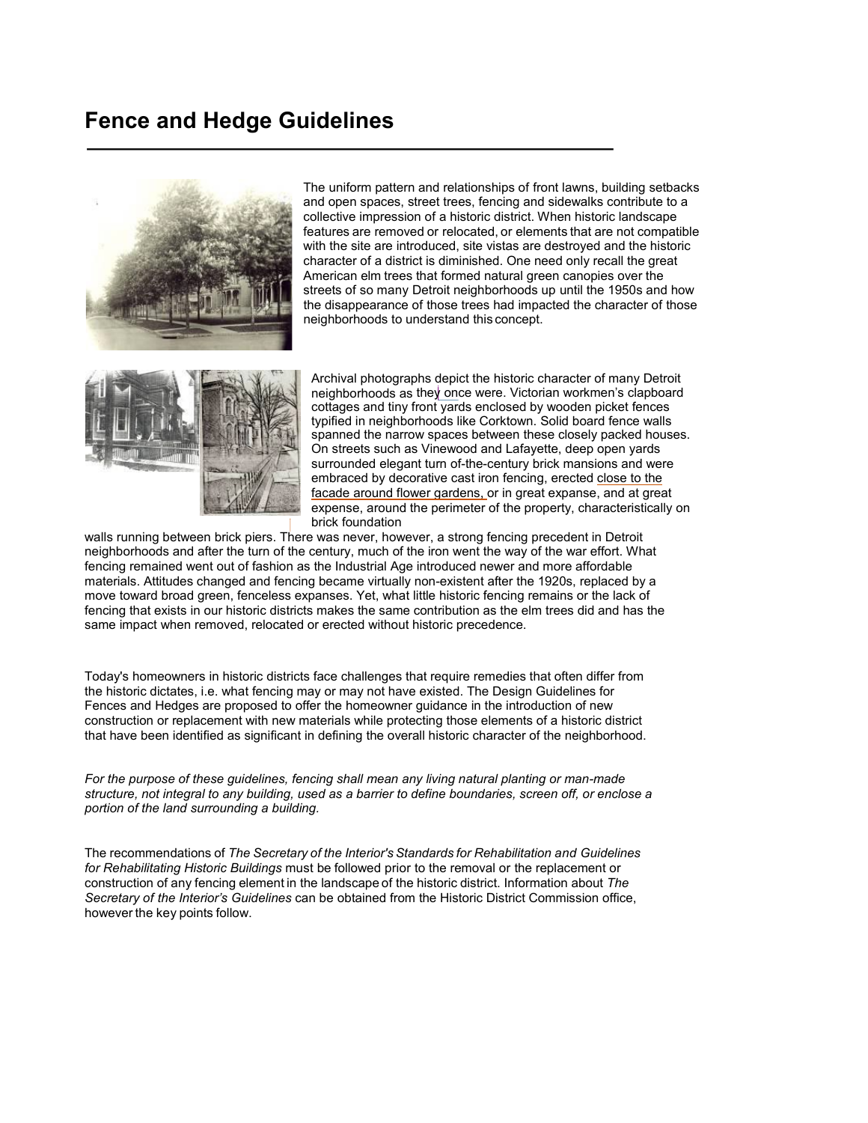# **Fence and Hedge Guidelines**



The uniform pattern and relationships of front lawns, building setbacks and open spaces, street trees, fencing and sidewalks contribute to a collective impression of a historic district. When historic landscape features are removed or relocated, or elements that are not compatible with the site are introduced, site vistas are destroyed and the historic character of a district is diminished. One need only recall the great American elm trees that formed natural green canopies over the streets of so many Detroit neighborhoods up until the 1950s and how the disappearance of those trees had impacted the character of those neighborhoods to understand this concept.



Archival photographs depict the historic character of many Detroit neighborhoods as they once were. Victorian workmen's clapboard cottages and tiny front yards enclosed by wooden picket fences typified in neighborhoods like Corktown. Solid board fence walls spanned the narrow spaces between these closely packed houses. On streets such as Vinewood and Lafayette, deep open yards surrounded elegant turn of-the-century brick mansions and were embraced by decorative cast iron fencing, erected close to the facade around flower gardens, or in great expanse, and at great expense, around the perimeter of the property, characteristically on brick foundation

walls running between brick piers. There was never, however, a strong fencing precedent in Detroit neighborhoods and after the turn of the century, much of the iron went the way of the war effort. What fencing remained went out of fashion as the Industrial Age introduced newer and more affordable materials. Attitudes changed and fencing became virtually non-existent after the 1920s, replaced by a move toward broad green, fenceless expanses. Yet, what little historic fencing remains or the lack of fencing that exists in our historic districts makes the same contribution as the elm trees did and has the same impact when removed, relocated or erected without historic precedence.

Today's homeowners in historic districts face challenges that require remedies that often differ from the historic dictates, i.e. what fencing may or may not have existed. The Design Guidelines for Fences and Hedges are proposed to offer the homeowner guidance in the introduction of new construction or replacement with new materials while protecting those elements of a historic district that have been identified as significant in defining the overall historic character of the neighborhood.

*For the purpose of these guidelines, fencing shall mean any living natural planting or man-made structure, not integral to any building, used as a barrier to define boundaries, screen off, or enclose a portion of the land surrounding a building.*

The recommendations of *The Secretary of the Interior's Standards for Rehabilitation and Guidelines for Rehabilitating Historic Buildings* must be followed prior to the removal or the replacement or construction of any fencing element in the landscape of the historic district. Information about *The Secretary of the Interior's Guidelines* can be obtained from the Historic District Commission office, however the key points follow.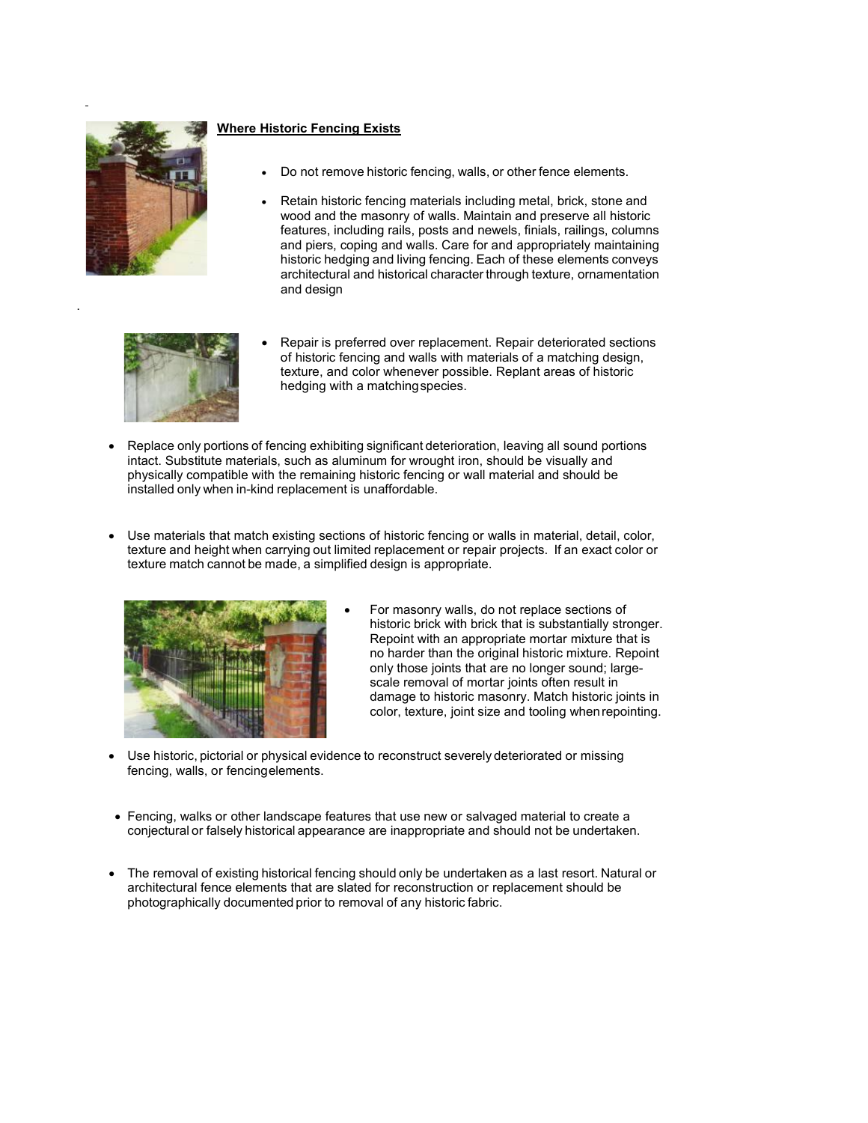

.

# **Where Historic Fencing Exists**

- Do not remove historic fencing, walls, or other fence elements.
- Retain historic fencing materials including metal, brick, stone and wood and the masonry of walls. Maintain and preserve all historic features, including rails, posts and newels, finials, railings, columns and piers, coping and walls. Care for and appropriately maintaining historic hedging and living fencing. Each of these elements conveys architectural and historical character through texture, ornamentation and design



- Repair is preferred over replacement. Repair deteriorated sections of historic fencing and walls with materials of a matching design, texture, and color whenever possible. Replant areas of historic hedging with a matchingspecies.
- Replace only portions of fencing exhibiting significant deterioration, leaving all sound portions intact. Substitute materials, such as aluminum for wrought iron, should be visually and physically compatible with the remaining historic fencing or wall material and should be installed only when in-kind replacement is unaffordable.
- Use materials that match existing sections of historic fencing or walls in material, detail, color, texture and height when carrying out limited replacement or repair projects. If an exact color or texture match cannot be made, a simplified design is appropriate.



- For masonry walls, do not replace sections of historic brick with brick that is substantially stronger. Repoint with an appropriate mortar mixture that is no harder than the original historic mixture. Repoint only those joints that are no longer sound; largescale removal of mortar joints often result in damage to historic masonry. Match historic joints in color, texture, joint size and tooling whenrepointing.
- Use historic, pictorial or physical evidence to reconstruct severely deteriorated or missing fencing, walls, or fencingelements.
- Fencing, walks or other landscape features that use new or salvaged material to create a conjectural or falsely historical appearance are inappropriate and should not be undertaken.
- The removal of existing historical fencing should only be undertaken as a last resort. Natural or architectural fence elements that are slated for reconstruction or replacement should be photographically documented prior to removal of any historic fabric.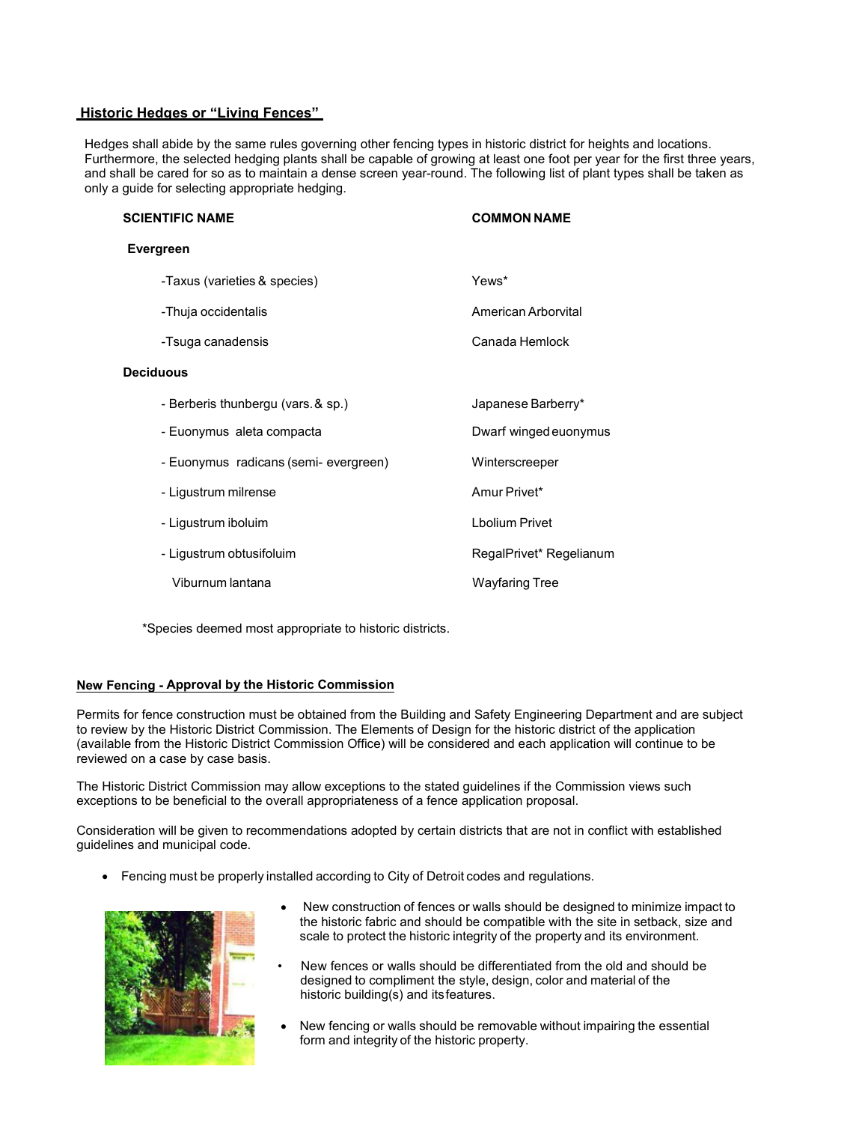## **Historic Hedges or "Living Fences"**

Hedges shall abide by the same rules governing other fencing types in historic district for heights and locations. Furthermore, the selected hedging plants shall be capable of growing at least one foot per year for the first three years, and shall be cared for so as to maintain a dense screen year-round. The following list of plant types shall be taken as only a guide for selecting appropriate hedging.

| <b>SCIENTIFIC NAME</b>                | <b>COMMON NAME</b>      |
|---------------------------------------|-------------------------|
| Evergreen                             |                         |
| -Taxus (varieties & species)          | Yews*                   |
| -Thuja occidentalis                   | American Arborvital     |
| -Tsuga canadensis                     | Canada Hemlock          |
| <b>Deciduous</b>                      |                         |
| - Berberis thunbergu (vars. & sp.)    | Japanese Barberry*      |
| - Euonymus aleta compacta             | Dwarf winged euonymus   |
| - Euonymus radicans (semi- evergreen) | Winterscreeper          |
| - Ligustrum milrense                  | Amur Privet*            |
| - Ligustrum iboluim                   | <b>Lbolium Privet</b>   |
| - Ligustrum obtusifoluim              | RegalPrivet* Regelianum |
| Viburnum lantana                      | Wayfaring Tree          |

\*Species deemed most appropriate to historic districts.

## **New Fencing - Approval by the Historic Commission**

Permits for fence construction must be obtained from the Building and Safety Engineering Department and are subject to review by the Historic District Commission. The Elements of Design for the historic district of the application (available from the Historic District Commission Office) will be considered and each application will continue to be reviewed on a case by case basis.

The Historic District Commission may allow exceptions to the stated guidelines if the Commission views such exceptions to be beneficial to the overall appropriateness of a fence application proposal.

Consideration will be given to recommendations adopted by certain districts that are not in conflict with established guidelines and municipal code.

• Fencing must be properly installed according to City of Detroit codes and regulations.



- New construction of fences or walls should be designed to minimize impact to the historic fabric and should be compatible with the site in setback, size and scale to protect the historic integrity of the property and its environment.
- New fences or walls should be differentiated from the old and should be designed to compliment the style, design, color and material of the historic building(s) and itsfeatures.
- New fencing or walls should be removable without impairing the essential form and integrity of the historic property.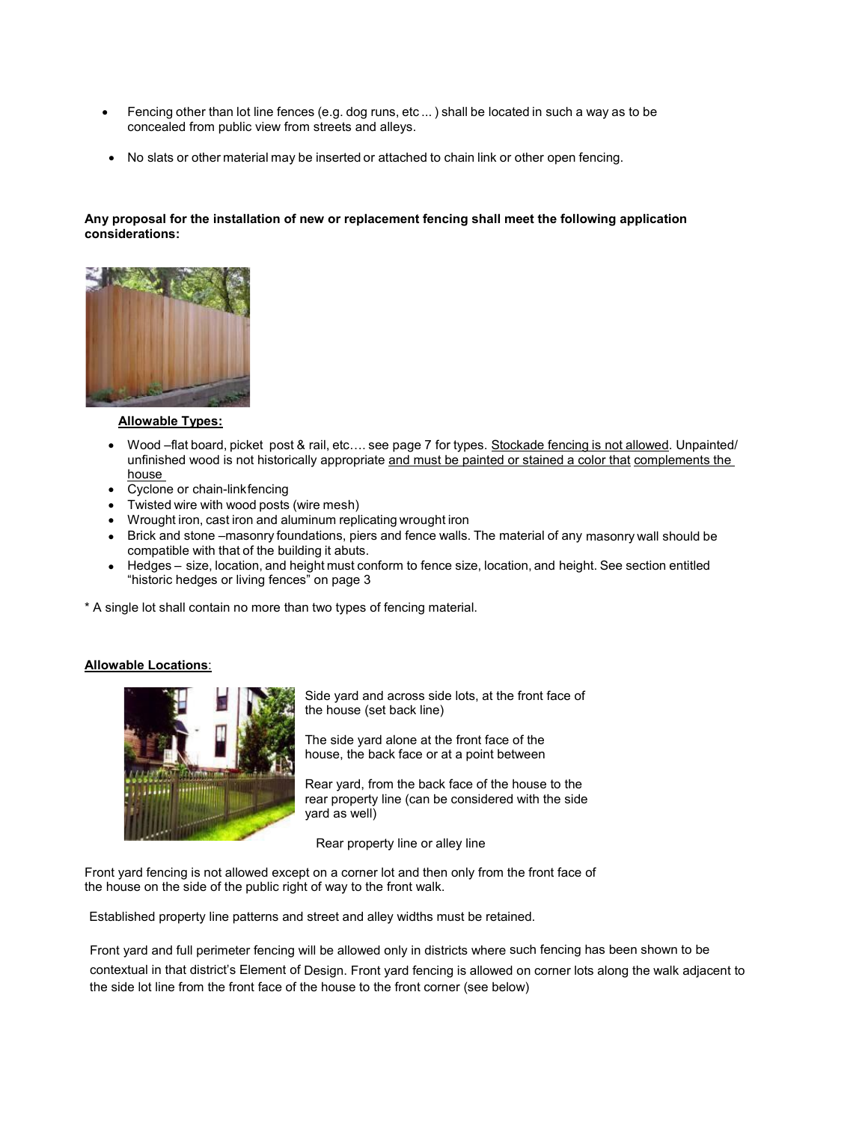- Fencing other than lot line fences (e.g. dog runs, etc ... ) shall be located in such a way as to be concealed from public view from streets and alleys.
- No slats or other material may be inserted or attached to chain link or other open fencing.

## **Any proposal for the installation of new or replacement fencing shall meet the following application considerations:**



## **Allowable Types:**

- Wood –flat board, picket post & rail, etc…. see page 7 for types. Stockade fencing is not allowed. Unpainted/ unfinished wood is not historically appropriate and must be painted or stained a color that complements the house
- Cyclone or chain-linkfencing
- Twisted wire with wood posts (wire mesh)
- Wrought iron, cast iron and aluminum replicating wrought iron
- Brick and stone –masonry foundations, piers and fence walls. The material of any masonry wall should be compatible with that of the building it abuts.
- Hedges size, location, and height must conform to fence size, location, and height. See section entitled "historic hedges or living fences" on page 3

\* A single lot shall contain no more than two types of fencing material.

## **Allowable Locations**:



Side yard and across side lots, at the front face of the house (set back line)

The side yard alone at the front face of the house, the back face or at a point between

Rear yard, from the back face of the house to the rear property line (can be considered with the side yard as well)

Rear property line or alley line

Front yard fencing is not allowed except on a corner lot and then only from the front face of the house on the side of the public right of way to the front walk.

Established property line patterns and street and alley widths must be retained.

Front yard and full perimeter fencing will be allowed only in districts where such fencing has been shown to be contextual in that district's Element of Design. Front yard fencing is allowed on corner lots along the walk adjacent to the side lot line from the front face of the house to the front corner (see below)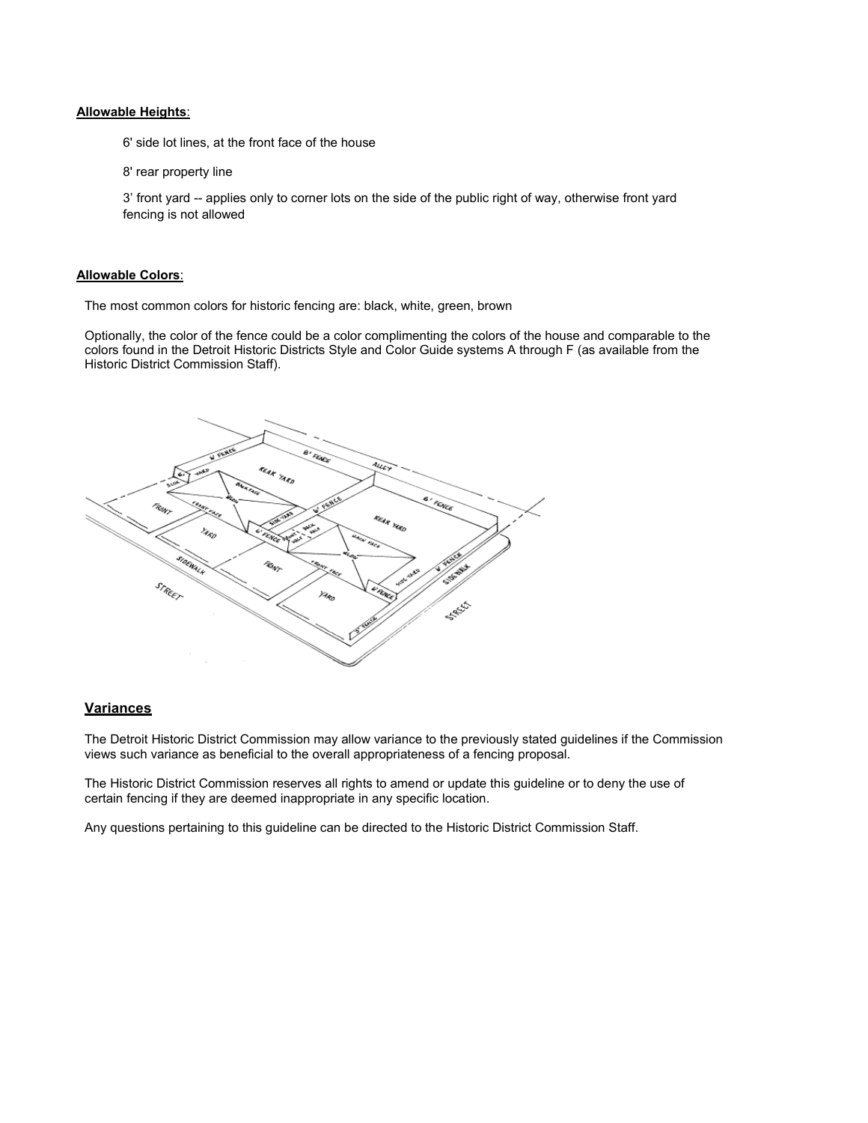#### **Allowable Heights**:

6' side lot lines, at the front face of the house

8' rear property line

3' front yard -- applies only to corner lots on the side of the public right of way, otherwise front yard fencing is not allowed

#### **Allowable Colors**:

The most common colors for historic fencing are: black, white, green, brown

Optionally, the color of the fence could be a color complimenting the colors of the house and comparable to the colors found in the Detroit Historic Districts Style and Color Guide systems A through F (as available from the Historic District Commission Staff).



#### **Variances**

The Detroit Historic District Commission may allow variance to the previously stated guidelines if the Commission views such variance as beneficial to the overall appropriateness of a fencing proposal.

The Historic District Commission reserves all rights to amend or update this guideline or to deny the use of certain fencing if they are deemed inappropriate in any specific location.

Any questions pertaining to this guideline can be directed to the Historic District Commission Staff.